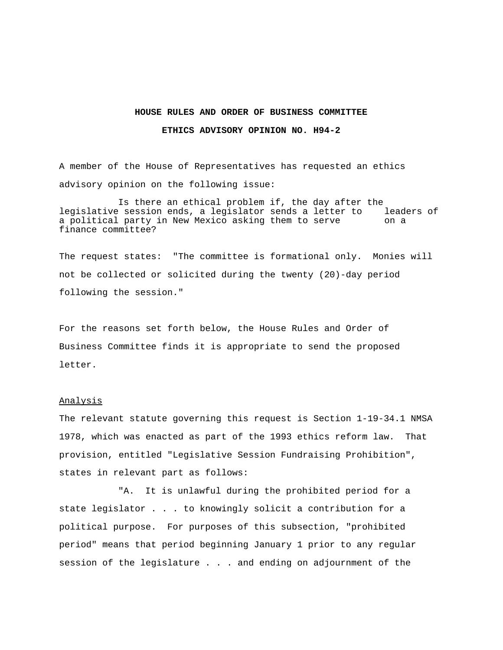## **HOUSE RULES AND ORDER OF BUSINESS COMMITTEE**

## **ETHICS ADVISORY OPINION NO. H94-2**

A member of the House of Representatives has requested an ethics advisory opinion on the following issue:

Is there an ethical problem if, the day after the legislative session ends, a legislator sends a letter to leaders of a political party in New Mexico asking them to serve on a finance committee?

The request states: "The committee is formational only. Monies will not be collected or solicited during the twenty (20)-day period following the session."

For the reasons set forth below, the House Rules and Order of Business Committee finds it is appropriate to send the proposed letter.

## Analysis

The relevant statute governing this request is Section 1-19-34.1 NMSA 1978, which was enacted as part of the 1993 ethics reform law. That provision, entitled "Legislative Session Fundraising Prohibition", states in relevant part as follows:

"A. It is unlawful during the prohibited period for a state legislator . . . to knowingly solicit a contribution for a political purpose. For purposes of this subsection, "prohibited period" means that period beginning January 1 prior to any regular session of the legislature . . . and ending on adjournment of the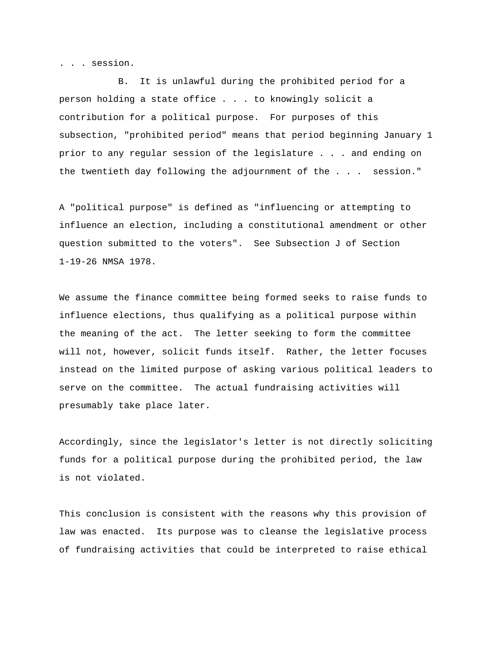. . . session.

B. It is unlawful during the prohibited period for a person holding a state office . . . to knowingly solicit a contribution for a political purpose. For purposes of this subsection, "prohibited period" means that period beginning January 1 prior to any regular session of the legislature . . . and ending on the twentieth day following the adjournment of the . . . session."

A "political purpose" is defined as "influencing or attempting to influence an election, including a constitutional amendment or other question submitted to the voters". See Subsection J of Section 1-19-26 NMSA 1978.

We assume the finance committee being formed seeks to raise funds to influence elections, thus qualifying as a political purpose within the meaning of the act. The letter seeking to form the committee will not, however, solicit funds itself. Rather, the letter focuses instead on the limited purpose of asking various political leaders to serve on the committee. The actual fundraising activities will presumably take place later.

Accordingly, since the legislator's letter is not directly soliciting funds for a political purpose during the prohibited period, the law is not violated.

This conclusion is consistent with the reasons why this provision of law was enacted. Its purpose was to cleanse the legislative process of fundraising activities that could be interpreted to raise ethical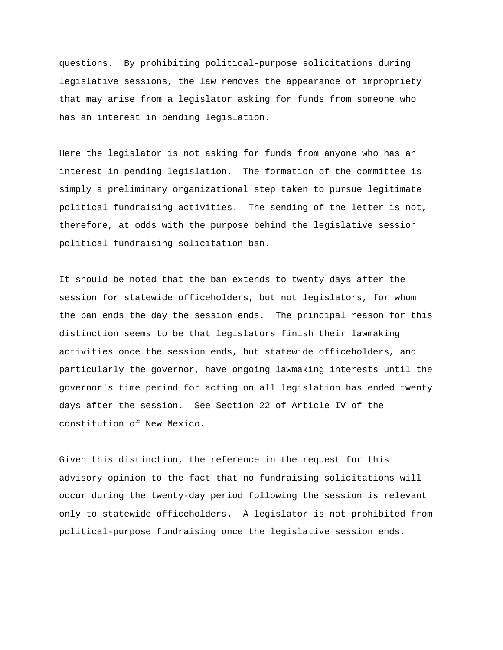questions. By prohibiting political-purpose solicitations during legislative sessions, the law removes the appearance of impropriety that may arise from a legislator asking for funds from someone who has an interest in pending legislation.

Here the legislator is not asking for funds from anyone who has an interest in pending legislation. The formation of the committee is simply a preliminary organizational step taken to pursue legitimate political fundraising activities. The sending of the letter is not, therefore, at odds with the purpose behind the legislative session political fundraising solicitation ban.

It should be noted that the ban extends to twenty days after the session for statewide officeholders, but not legislators, for whom the ban ends the day the session ends. The principal reason for this distinction seems to be that legislators finish their lawmaking activities once the session ends, but statewide officeholders, and particularly the governor, have ongoing lawmaking interests until the governor's time period for acting on all legislation has ended twenty days after the session. See Section 22 of Article IV of the constitution of New Mexico.

Given this distinction, the reference in the request for this advisory opinion to the fact that no fundraising solicitations will occur during the twenty-day period following the session is relevant only to statewide officeholders. A legislator is not prohibited from political-purpose fundraising once the legislative session ends.